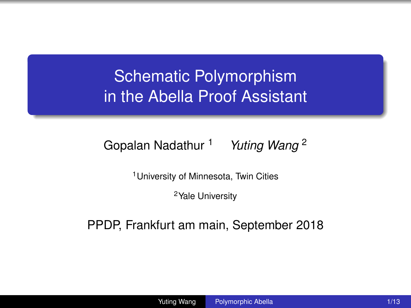# <span id="page-0-0"></span>Schematic Polymorphism in the Abella Proof Assistant

#### Gopalan Nadathur <sup>1</sup> *Yuting Wang* <sup>2</sup>

<sup>1</sup>University of Minnesota, Twin Cities

<sup>2</sup>Yale University

PPDP, Frankfurt am main, September 2018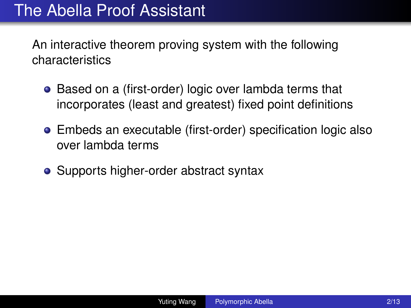### The Abella Proof Assistant

An interactive theorem proving system with the following characteristics

- Based on a (first-order) logic over lambda terms that incorporates (least and greatest) fixed point definitions
- Embeds an executable (first-order) specification logic also over lambda terms
- Supports higher-order abstract syntax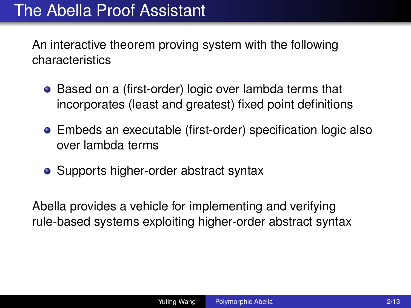### The Abella Proof Assistant

An interactive theorem proving system with the following characteristics

- Based on a (first-order) logic over lambda terms that incorporates (least and greatest) fixed point definitions
- Embeds an executable (first-order) specification logic also over lambda terms
- Supports higher-order abstract syntax

Abella provides a vehicle for implementing and verifying rule-based systems exploiting higher-order abstract syntax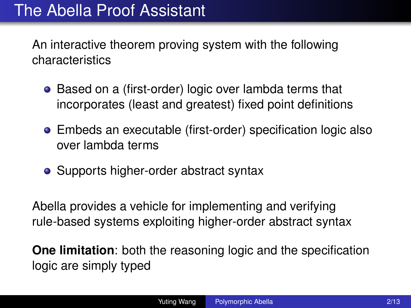## The Abella Proof Assistant

An interactive theorem proving system with the following characteristics

- Based on a (first-order) logic over lambda terms that incorporates (least and greatest) fixed point definitions
- Embeds an executable (first-order) specification logic also over lambda terms
- Supports higher-order abstract syntax

Abella provides a vehicle for implementing and verifying rule-based systems exploiting higher-order abstract syntax

**One limitation:** both the reasoning logic and the specification logic are simply typed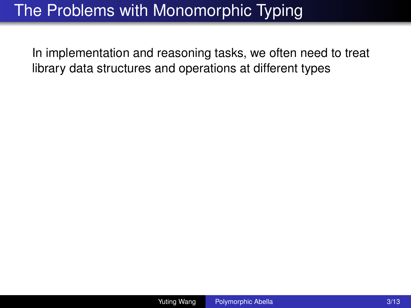In implementation and reasoning tasks, we often need to treat library data structures and operations at different types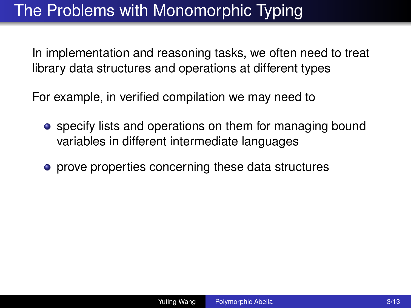In implementation and reasoning tasks, we often need to treat library data structures and operations at different types

For example, in verified compilation we may need to

- specify lists and operations on them for managing bound variables in different intermediate languages
- **•** prove properties concerning these data structures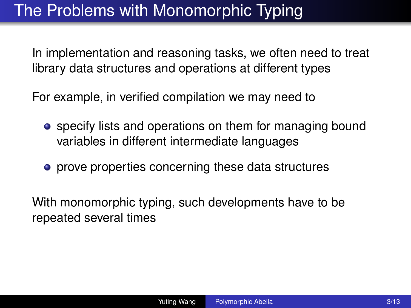In implementation and reasoning tasks, we often need to treat library data structures and operations at different types

For example, in verified compilation we may need to

- specify lists and operations on them for managing bound variables in different intermediate languages
- **•** prove properties concerning these data structures

With monomorphic typing, such developments have to be repeated several times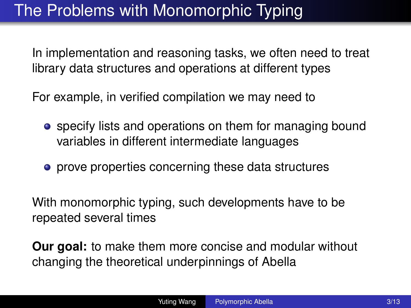In implementation and reasoning tasks, we often need to treat library data structures and operations at different types

For example, in verified compilation we may need to

- specify lists and operations on them for managing bound variables in different intermediate languages
- **•** prove properties concerning these data structures

With monomorphic typing, such developments have to be repeated several times

**Our goal:** to make them more concise and modular without changing the theoretical underpinnings of Abella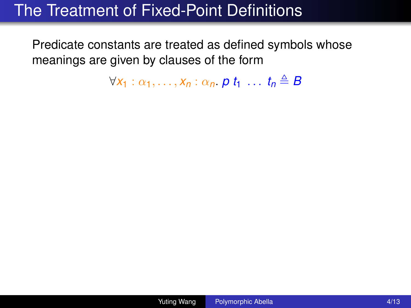#### The Treatment of Fixed-Point Definitions

Predicate constants are treated as defined symbols whose meanings are given by clauses of the form

 $\forall x_1 : \alpha_1, \ldots, x_n : \alpha_n$  *p*  $t_1$   $\ldots$   $t_n \triangleq B$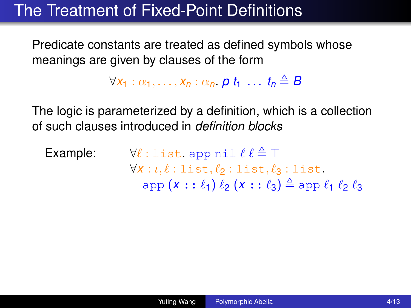#### The Treatment of Fixed-Point Definitions

Predicate constants are treated as defined symbols whose meanings are given by clauses of the form

 $\forall x_1 : \alpha_1, \ldots, x_n : \alpha_n \cdot p t_1 \ldots t_n \triangleq B$ 

The logic is parameterized by a definition, which is a collection of such clauses introduced in *definition blocks*

**Example:**  $\forall \ell : \text{list. app nil } \ell \ell \triangleq \top$  $\forall x : \iota, \ell : \text{list}, \ell_2 : \text{list}, \ell_3 : \text{list}.$ app  $(X : : \ell_1) \ell_2 (X : : \ell_3) \stackrel{\Delta}{=}$  app  $\ell_1 \ell_2 \ell_3$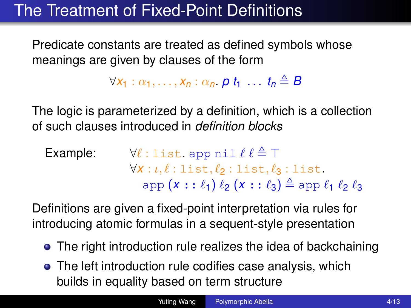## The Treatment of Fixed-Point Definitions

Predicate constants are treated as defined symbols whose meanings are given by clauses of the form

 $\forall x_1 : \alpha_1, \ldots, x_n : \alpha_n \cdot p t_1 \ldots t_n \triangleq B$ 

The logic is parameterized by a definition, which is a collection of such clauses introduced in *definition blocks*

**Example:** 
$$
\forall l : \text{list. app nil } l l \triangleq T
$$
  
 $\forall x : \iota, l : \text{list.} \ell_2 : \text{list.} \ell_3 : \text{list.}$   
app  $(x : : \ell_1) \ell_2 (x : : \ell_3) \triangleq \text{app } \ell_1 \ell_2 \ell_3$ 

Definitions are given a fixed-point interpretation via rules for introducing atomic formulas in a sequent-style presentation

- The right introduction rule realizes the idea of backchaining
- The left introduction rule codifies case analysis, which builds in equality based on term structure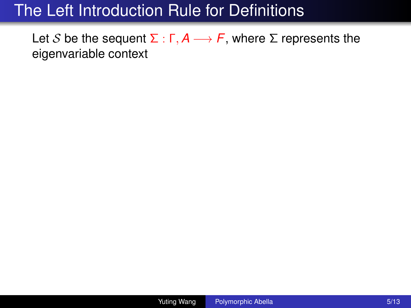Let S be the sequent  $\Sigma : \Gamma, A \longrightarrow F$ , where  $\Sigma$  represents the eigenvariable context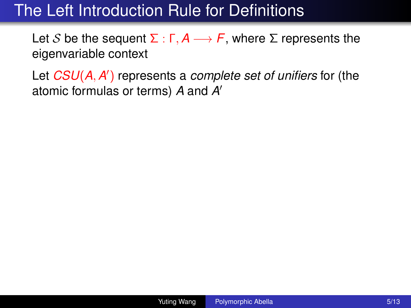Let S be the sequent  $\Sigma : \Gamma, A \longrightarrow F$ , where  $\Sigma$  represents the eigenvariable context

Let *CSU*(*A*, *A'*) represents a *complete set of unifiers* for (the atomic formulas or terms) *A* and *A* 0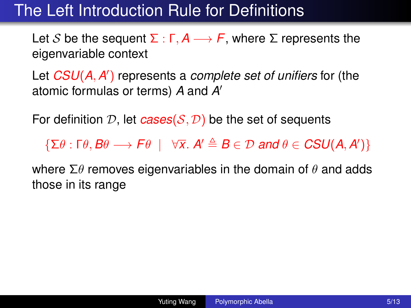Let S be the sequent  $\Sigma : \Gamma, A \longrightarrow F$ , where  $\Sigma$  represents the eigenvariable context

Let *CSU*(*A*, *A'*) represents a *complete set of unifiers* for (the atomic formulas or terms) *A* and *A* 0

For definition D, let  $cases(S, D)$  be the set of sequents

 $\{\Sigma \theta : \Gamma \theta, B \theta \longrightarrow F \theta \mid \forall \overline{x}, A' \triangleq B \in \mathcal{D} \text{ and } \theta \in \text{CSU}(A, A')\}$ 

where  $\Sigma \theta$  removes eigenvariables in the domain of  $\theta$  and adds those in its range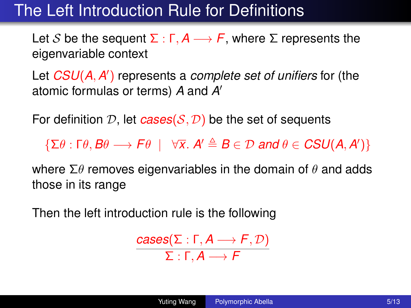Let S be the sequent  $\Sigma : \Gamma, A \longrightarrow F$ , where  $\Sigma$  represents the eigenvariable context

Let *CSU*(*A*, *A'*) represents a *complete set of unifiers* for (the atomic formulas or terms) *A* and *A* 0

For definition D, let  $cases(S, D)$  be the set of sequents

 $\{\Sigma \theta : \Gamma \theta, B \theta \longrightarrow F \theta \mid \forall \overline{x}, A' \triangleq B \in \mathcal{D} \text{ and } \theta \in \text{CSU}(A, A')\}$ 

where  $\Sigma \theta$  removes eigenvariables in the domain of  $\theta$  and adds those in its range

Then the left introduction rule is the following

 $\mathsf{cases}(\Sigma : \Gamma, \mathsf{A} \longrightarrow \mathsf{F}, \mathcal{D})$  $\Sigma:\Gamma, A \longrightarrow F$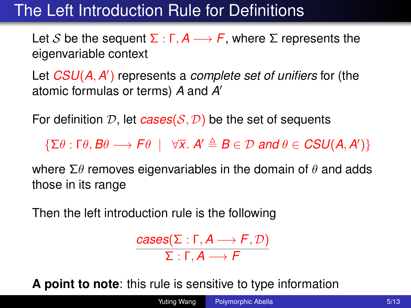Let S be the sequent  $\Sigma : \Gamma, A \longrightarrow F$ , where  $\Sigma$  represents the eigenvariable context

Let *CSU*(*A*, *A'*) represents a *complete set of unifiers* for (the atomic formulas or terms) *A* and *A* 0

For definition D, let  $cases(S, D)$  be the set of sequents

 $\{\Sigma \theta : \Gamma \theta, B \theta \longrightarrow F \theta \mid \forall \overline{x}, A' \triangleq B \in \mathcal{D} \text{ and } \theta \in \text{CSU}(A, A')\}$ 

where  $\Sigma \theta$  removes eigenvariables in the domain of  $\theta$  and adds those in its range

Then the left introduction rule is the following

 $\mathsf{cases}(\Sigma : \Gamma, \mathsf{A} \longrightarrow \mathsf{F}, \mathcal{D})$  $\Sigma:\Gamma, A \longrightarrow F$ 

**A point to note**: this rule is sensitive to type information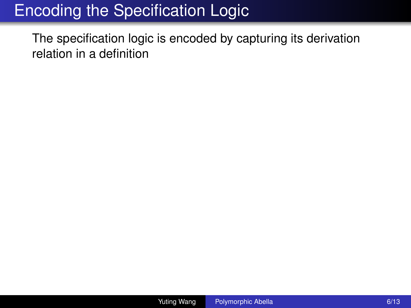The specification logic is encoded by capturing its derivation relation in a definition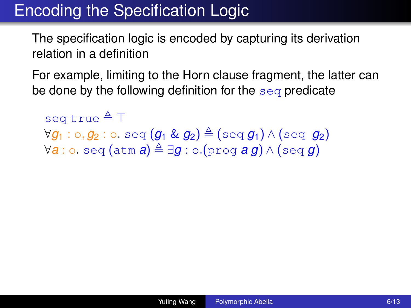The specification logic is encoded by capturing its derivation relation in a definition

For example, limiting to the Horn clause fragment, the latter can be done by the following definition for the  $\frac{1}{2}$  predicate

seq true  $\triangleq$  T  $\forall$ *g*<sub>1</sub> : o, *g*<sub>2</sub> : o. seq (*g*<sub>1</sub> & *g*<sub>2</sub>)  $\triangleq$  (seq *g*<sub>1</sub>) ∧ (seq *g*<sub>2</sub>)  $\forall a$  : o. seq (atm *a*)  $\triangleq \exists q$  : o.(prog *a g*) ∧ (seq *g*)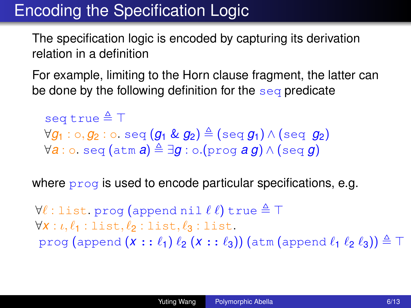The specification logic is encoded by capturing its derivation relation in a definition

For example, limiting to the Horn clause fragment, the latter can be done by the following definition for the  $\frac{1}{2}$  predicate

seq true  $\triangleq$  T  $\forall q_1$  : o,  $q_2$  : o, seq ( $q_1 \& q_2$ )  $\triangleq$  (seq  $q_1$ ) ∧ (seq  $q_2$ )  $\forall a$  : o. seq (atm *a*)  $\triangleq \exists q$  : o.(prog *a g*) ∧ (seq *g*)

where  $\frac{p}{q}$  is used to encode particular specifications, e.g.

 $\forall \ell : \text{list.}$  prog (append nil  $\ell \ell$ ) true  $\triangleq \top$  $\forall x : \iota, \ell_1 : \text{list}, \ell_2 : \text{list}, \ell_3 : \text{list}.$ prog (append  $(X : : \ell_1)$   $\ell_2$   $(X : : \ell_3)$ ) (atm (append  $\ell_1$   $\ell_2$   $\ell_3$ ))  $\triangleq$  T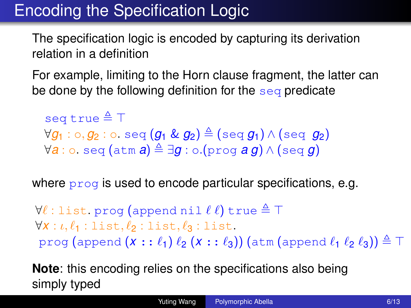The specification logic is encoded by capturing its derivation relation in a definition

For example, limiting to the Horn clause fragment, the latter can be done by the following definition for the  $\frac{1}{2}$  predicate

seq true  $\triangleq$  T  $\forall q_1$  : o,  $q_2$  : o, seq  $(q_1 \& q_2) \triangleq$  (seq  $q_1$ ) ∧ (seq  $q_2$ )  $\forall a$  : o. seq (atm *a*)  $\triangleq \exists q$  : o.(prog *a g*) ∧ (seq *g*)

where  $\frac{1}{2}$  prog is used to encode particular specifications, e.g.

 $\forall \ell : \text{list.}$  prog (append nil  $\ell \ell$ ) true  $\triangleq \top$  $\forall x : \iota, \ell_1 : \text{list}, \ell_2 : \text{list}, \ell_3 : \text{list}.$ prog (append  $(X : : \ell_1)$   $\ell_2$   $(X : : \ell_3)$ ) (atm (append  $\ell_1$   $\ell_2$   $\ell_3$ ))  $\triangleq$  T

**Note**: this encoding relies on the specifications also being simply typed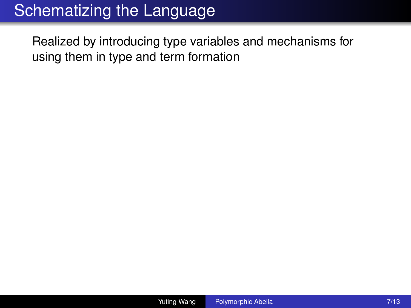Realized by introducing type variables and mechanisms for using them in type and term formation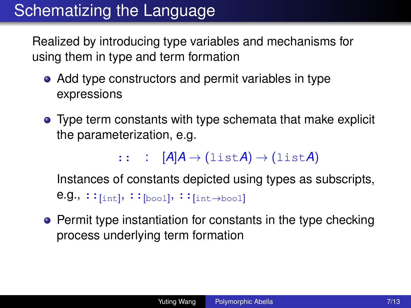### Schematizing the Language

Realized by introducing type variables and mechanisms for using them in type and term formation

- Add type constructors and permit variables in type expressions
- Type term constants with type schemata that make explicit the parameterization, e.g.

:: :  $[A]A \rightarrow (listA) \rightarrow (listA)$ 

Instances of constants depicted using types as subscripts,  $e.g., ::_{[\text{int}]}, ::_{[\text{bool}]}, ::_{[\text{int}\rightarrow \text{bool}]}$ 

• Permit type instantiation for constants in the type checking process underlying term formation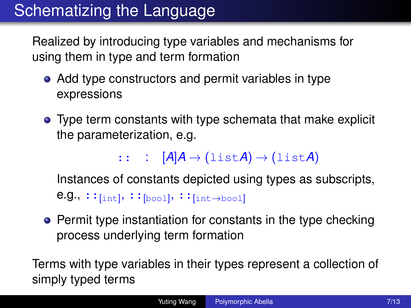## Schematizing the Language

Realized by introducing type variables and mechanisms for using them in type and term formation

- Add type constructors and permit variables in type expressions
- Type term constants with type schemata that make explicit the parameterization, e.g.

:: :  $[A]A \rightarrow (listA) \rightarrow (listA)$ 

Instances of constants depicted using types as subscripts,  $e.g., ::_{[\text{int}]}, ::_{[\text{bool}]}, ::_{[\text{int}\rightarrow \text{bool}]}$ 

• Permit type instantiation for constants in the type checking process underlying term formation

Terms with type variables in their types represent a collection of simply typed terms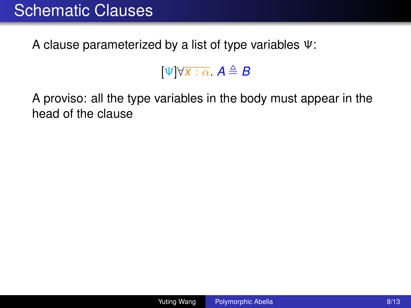#### A clause parameterized by a list of type variables Ψ:

 $[\Psi] \forall x : \alpha \ A \triangleq B$ 

A proviso: all the type variables in the body must appear in the head of the clause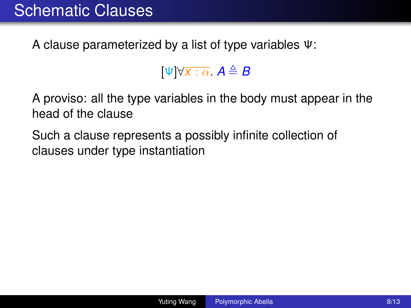A clause parameterized by a list of type variables Ψ:

 $[\Psi] \forall x : \alpha. A \triangleq B$ 

A proviso: all the type variables in the body must appear in the head of the clause

Such a clause represents a possibly infinite collection of clauses under type instantiation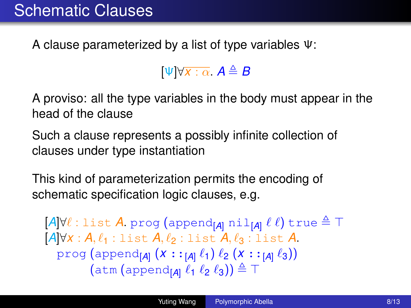A clause parameterized by a list of type variables Ψ:

 $[\Psi] \forall x : \alpha. A \triangleq B$ 

A proviso: all the type variables in the body must appear in the head of the clause

Such a clause represents a possibly infinite collection of clauses under type instantiation

This kind of parameterization permits the encoding of schematic specification logic clauses, e.g.

 $[A]\forall \ell$ : list *A*. prog (append<sub>[*A*]</sub> nil<sub>[*A*]</sub>  $\ell \ell$ ) true  $\triangleq$  T  $[A]$  $\forall$ *x* :  $A, l_1$  : list  $A, l_2$  : list  $A, l_3$  : list  $A$ . prog (append[*A*] (*x* ::[*A*] `1) `<sup>2</sup> (*x* ::[*A*] `3))  $(\text{atm (append}_{[A]}\ell_1 \ell_2 \ell_3)) \triangleq \top$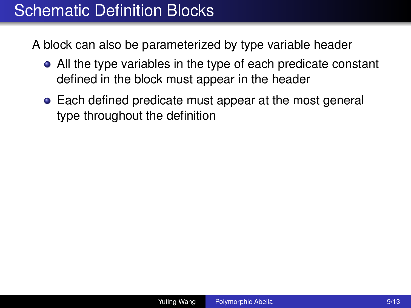#### Schematic Definition Blocks

A block can also be parameterized by type variable header

- All the type variables in the type of each predicate constant defined in the block must appear in the header
- Each defined predicate must appear at the most general type throughout the definition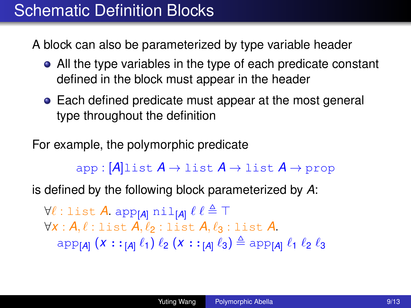#### Schematic Definition Blocks

A block can also be parameterized by type variable header

- All the type variables in the type of each predicate constant defined in the block must appear in the header
- Each defined predicate must appear at the most general type throughout the definition

For example, the polymorphic predicate

app :  $[A]$ list  $A \rightarrow$  list  $A \rightarrow$  list  $A \rightarrow$  prop

is defined by the following block parameterized by *A*:

 $\forall \ell : \text{list } A$ . app<sub>[*A*]</sub> nil<sub>[*A*]</sub>  $\ell \ell \triangleq \top$  $\forall x : A.\ell : \text{list } A.\ell_2 : \text{list } A.\ell_3 : \text{list } A.$  $\mathsf{app}_{[A]}$   $(X: :_{[A]} \ell_1)$   $\ell_2$   $(X: :_{[A]} \ell_3) \triangleq \mathsf{app}_{[A]}$   $\ell_1$   $\ell_2$   $\ell_3$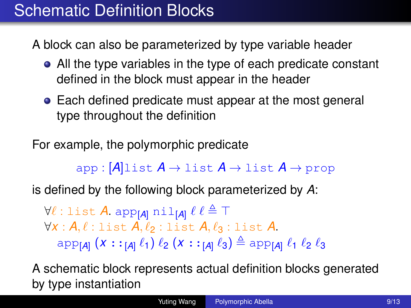## Schematic Definition Blocks

A block can also be parameterized by type variable header

- All the type variables in the type of each predicate constant defined in the block must appear in the header
- Each defined predicate must appear at the most general type throughout the definition

For example, the polymorphic predicate

app :  $[A]$ list  $A \rightarrow$  list  $A \rightarrow$  list  $A \rightarrow$  prop

is defined by the following block parameterized by *A*:

 $\forall \ell : \text{list } A$ . app<sub>[*A*]</sub> nil<sub>[*A*]</sub>  $\ell \ell \triangleq \top$  $\forall x : A, \ell : \text{list } A, \ell_2 : \text{list } A, \ell_3 : \text{list } A.$  $\mathsf{app}_{[A]}$   $(X: :_{[A]} \ell_1)$   $\ell_2$   $(X: :_{[A]} \ell_3) \triangleq \mathsf{app}_{[A]}$   $\ell_1$   $\ell_2$   $\ell_3$ 

A schematic block represents actual definition blocks generated by type instantiation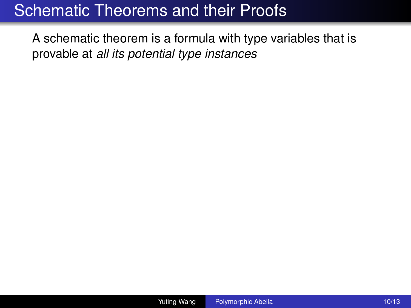A schematic theorem is a formula with type variables that is provable at *all its potential type instances*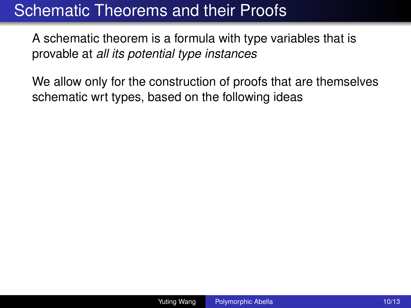A schematic theorem is a formula with type variables that is provable at *all its potential type instances*

We allow only for the construction of proofs that are themselves schematic wrt types, based on the following ideas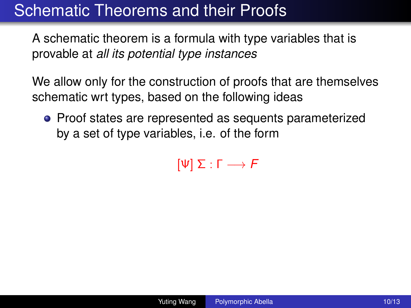A schematic theorem is a formula with type variables that is provable at *all its potential type instances*

We allow only for the construction of proofs that are themselves schematic wrt types, based on the following ideas

• Proof states are represented as sequents parameterized by a set of type variables, i.e. of the form

 $[Ψ] Σ : Γ → F$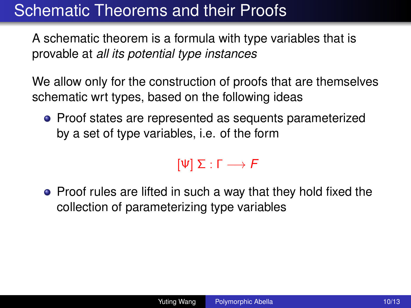A schematic theorem is a formula with type variables that is provable at *all its potential type instances*

We allow only for the construction of proofs that are themselves schematic wrt types, based on the following ideas

• Proof states are represented as sequents parameterized by a set of type variables, i.e. of the form

 $[Ψ] Σ : Γ → F$ 

• Proof rules are lifted in such a way that they hold fixed the collection of parameterizing type variables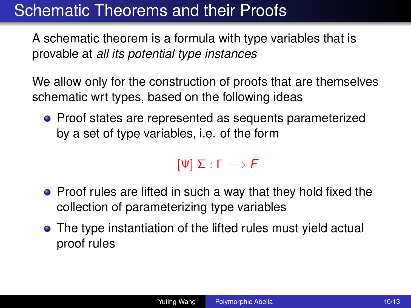A schematic theorem is a formula with type variables that is provable at *all its potential type instances*

We allow only for the construction of proofs that are themselves schematic wrt types, based on the following ideas

• Proof states are represented as sequents parameterized by a set of type variables, i.e. of the form

 $[Ψ] Σ : Γ → F$ 

- Proof rules are lifted in such a way that they hold fixed the collection of parameterizing type variables
- The type instantiation of the lifted rules must yield actual proof rules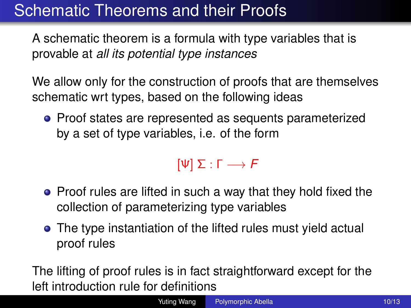A schematic theorem is a formula with type variables that is provable at *all its potential type instances*

We allow only for the construction of proofs that are themselves schematic wrt types, based on the following ideas

• Proof states are represented as sequents parameterized by a set of type variables, i.e. of the form

 $[Ψ] Σ : Γ → F$ 

- Proof rules are lifted in such a way that they hold fixed the collection of parameterizing type variables
- The type instantiation of the lifted rules must yield actual proof rules

The lifting of proof rules is in fact straightforward except for the left introduction rule for definitions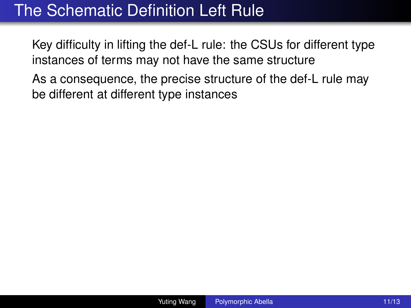Key difficulty in lifting the def-L rule: the CSUs for different type instances of terms may not have the same structure

As a consequence, the precise structure of the def-L rule may be different at different type instances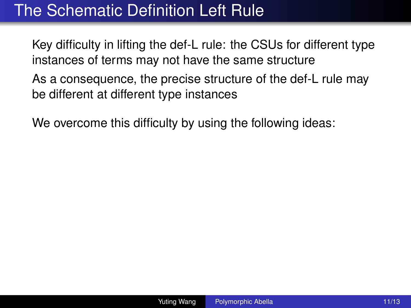Key difficulty in lifting the def-L rule: the CSUs for different type instances of terms may not have the same structure

As a consequence, the precise structure of the def-L rule may be different at different type instances

We overcome this difficulty by using the following ideas: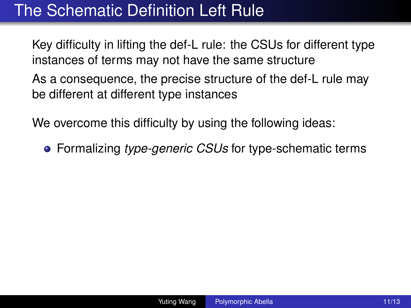Key difficulty in lifting the def-L rule: the CSUs for different type instances of terms may not have the same structure

As a consequence, the precise structure of the def-L rule may be different at different type instances

We overcome this difficulty by using the following ideas:

Formalizing *type-generic CSUs* for type-schematic terms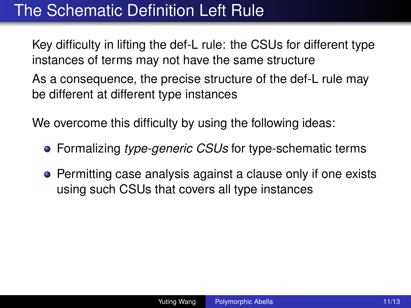Key difficulty in lifting the def-L rule: the CSUs for different type instances of terms may not have the same structure

As a consequence, the precise structure of the def-L rule may be different at different type instances

We overcome this difficulty by using the following ideas:

- Formalizing *type-generic CSUs* for type-schematic terms
- **•** Permitting case analysis against a clause only if one exists using such CSUs that covers all type instances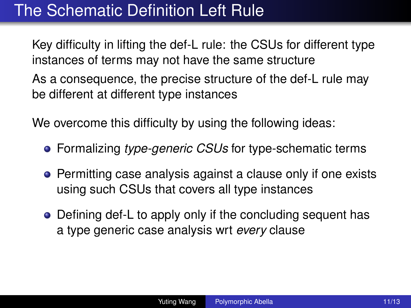Key difficulty in lifting the def-L rule: the CSUs for different type instances of terms may not have the same structure

As a consequence, the precise structure of the def-L rule may be different at different type instances

We overcome this difficulty by using the following ideas:

- Formalizing *type-generic CSUs* for type-schematic terms
- **•** Permitting case analysis against a clause only if one exists using such CSUs that covers all type instances
- Defining def-L to apply only if the concluding sequent has a type generic case analysis wrt *every* clause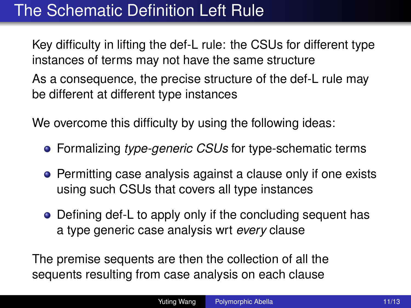Key difficulty in lifting the def-L rule: the CSUs for different type instances of terms may not have the same structure

As a consequence, the precise structure of the def-L rule may be different at different type instances

We overcome this difficulty by using the following ideas:

- Formalizing *type-generic CSUs* for type-schematic terms
- **•** Permitting case analysis against a clause only if one exists using such CSUs that covers all type instances
- Defining def-L to apply only if the concluding sequent has a type generic case analysis wrt *every* clause

The premise sequents are then the collection of all the sequents resulting from case analysis on each clause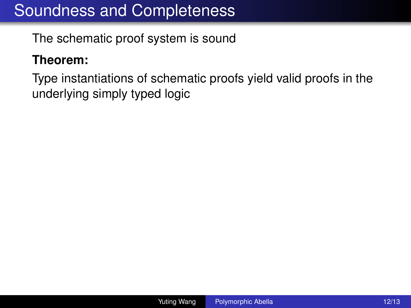The schematic proof system is sound

#### **Theorem:**

Type instantiations of schematic proofs yield valid proofs in the underlying simply typed logic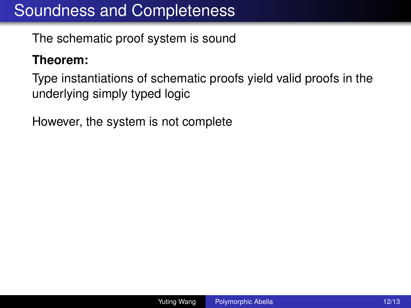The schematic proof system is sound

#### **Theorem:**

Type instantiations of schematic proofs yield valid proofs in the underlying simply typed logic

However, the system is not complete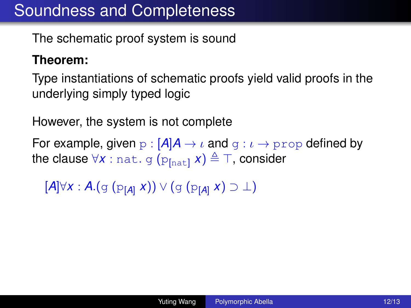The schematic proof system is sound

#### **Theorem:**

Type instantiations of schematic proofs yield valid proofs in the underlying simply typed logic

However, the system is not complete

For example, given  $p : [A]A \rightarrow \iota$  and  $q : \iota \rightarrow \text{prop}$  defined by the clause  $\forall x : \text{nat. } q$  ( $p_{\text{[nat]}} x$ )  $\triangleq \top$ , consider

 $[A]$ ∀*x* : *A*.(g (p<sub>[*A*]</sub> *x*)) ∨ (g (p<sub>[*A*]</sub> *x*) ⊃ ⊥)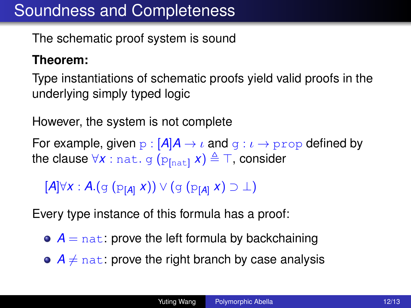The schematic proof system is sound

#### **Theorem:**

Type instantiations of schematic proofs yield valid proofs in the underlying simply typed logic

However, the system is not complete

For example, given  $p : [A]A \rightarrow \iota$  and  $q : \iota \rightarrow \text{prop}$  defined by the clause  $\forall x : \text{nat. } g$  ( $p_{\text{[nat]}} x$ )  $\triangleq \top$ , consider

 $[A]$ ∀*x* : *A*.(g (p<sub>[*A*]</sub> *x*)) ∨ (g (p<sub>[*A*]</sub> *x*) ⊃ ⊥)

Every type instance of this formula has a proof:

- $\bullet$   $A = \text{nat}$ : prove the left formula by backchaining
- $\bullet$   $A \neq$  nat: prove the right branch by case analysis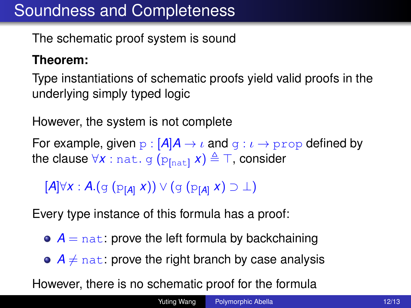The schematic proof system is sound

#### **Theorem:**

Type instantiations of schematic proofs yield valid proofs in the underlying simply typed logic

However, the system is not complete

For example, given  $p : [A]A \rightarrow \iota$  and  $q : \iota \rightarrow \text{prop}$  defined by the clause  $\forall x : \text{nat. } g$  ( $p_{\text{[nat]}} x$ )  $\triangleq \top$ , consider

 $[A]$ ∀*x* : *A*.(g (p<sub>[*A*]</sub> *x*)) ∨ (g (p<sub>[*A*]</sub> *x*) ⊃ ⊥)

Every type instance of this formula has a proof:

- $\bullet$   $A$  = nat: prove the left formula by backchaining
- $\bullet$   $A \neq$  nat: prove the right branch by case analysis

However, there is no schematic proof for the formula